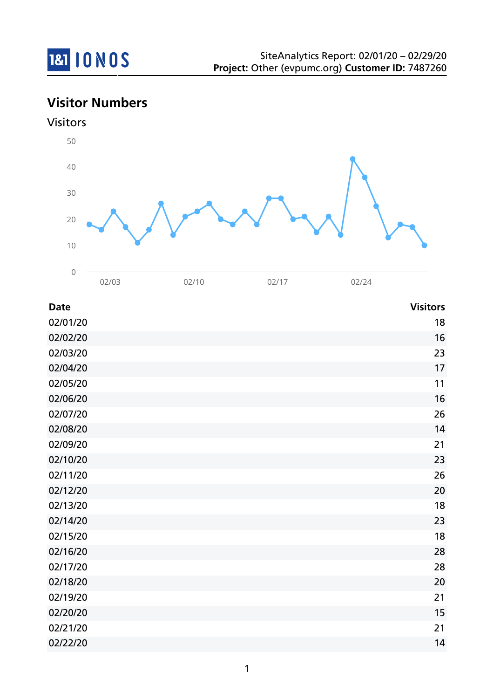

# **Visitor Numbers**



| <b>Date</b> | <b>Visitors</b> |
|-------------|-----------------|
| 02/01/20    | 18              |
| 02/02/20    | 16              |
| 02/03/20    | 23              |
| 02/04/20    | 17              |
| 02/05/20    | 11              |
| 02/06/20    | 16              |
| 02/07/20    | 26              |
| 02/08/20    | 14              |
| 02/09/20    | 21              |
| 02/10/20    | 23              |
| 02/11/20    | 26              |
| 02/12/20    | 20              |
| 02/13/20    | 18              |
| 02/14/20    | 23              |
| 02/15/20    | 18              |
| 02/16/20    | 28              |
| 02/17/20    | 28              |
| 02/18/20    | 20              |
| 02/19/20    | 21              |
| 02/20/20    | 15              |
| 02/21/20    | 21              |
| 02/22/20    | 14              |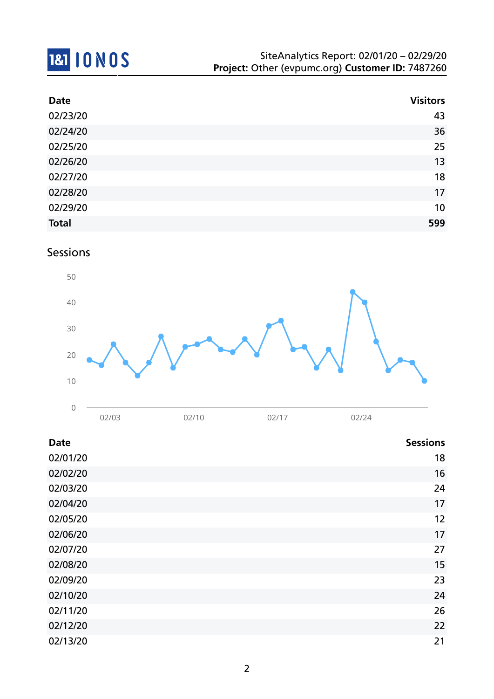# 181 10 NOS

| <b>Date</b>  | <b>Visitors</b> |
|--------------|-----------------|
| 02/23/20     | 43              |
| 02/24/20     | 36              |
| 02/25/20     | 25              |
| 02/26/20     | 13              |
| 02/27/20     | 18              |
| 02/28/20     | 17              |
| 02/29/20     | 10              |
| <b>Total</b> | 599             |

Sessions



| <b>Date</b> | <b>Sessions</b> |
|-------------|-----------------|
| 02/01/20    | 18              |
| 02/02/20    | 16              |
| 02/03/20    | 24              |
| 02/04/20    | 17              |
| 02/05/20    | 12              |
| 02/06/20    | 17              |
| 02/07/20    | 27              |
| 02/08/20    | 15              |
| 02/09/20    | 23              |
| 02/10/20    | 24              |
| 02/11/20    | 26              |
| 02/12/20    | 22              |
| 02/13/20    | 21              |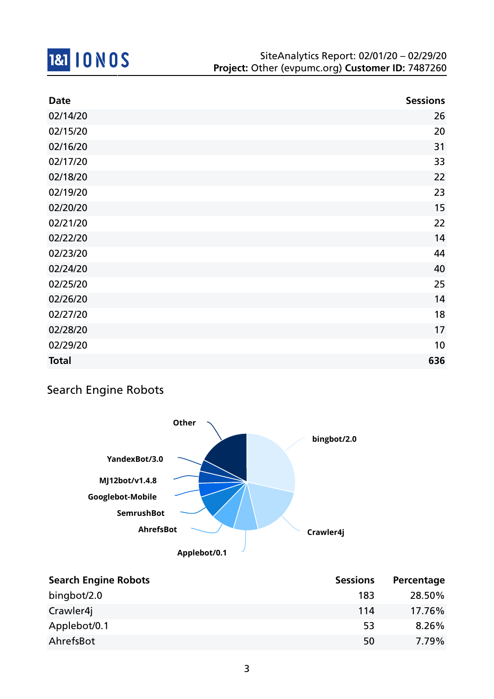

| <b>Date</b>  | <b>Sessions</b> |
|--------------|-----------------|
| 02/14/20     | 26              |
| 02/15/20     | 20              |
| 02/16/20     | 31              |
| 02/17/20     | 33              |
| 02/18/20     | 22              |
| 02/19/20     | 23              |
| 02/20/20     | 15              |
| 02/21/20     | 22              |
| 02/22/20     | 14              |
| 02/23/20     | 44              |
| 02/24/20     | 40              |
| 02/25/20     | 25              |
| 02/26/20     | 14              |
| 02/27/20     | 18              |
| 02/28/20     | 17              |
| 02/29/20     | 10              |
| <b>Total</b> | 636             |

## Search Engine Robots



| <b>Search Engine Robots</b> | <b>Sessions</b> | Percentage |
|-----------------------------|-----------------|------------|
| bingbot/2.0                 | 183             | 28.50%     |
| Crawler4j                   | 114             | 17.76%     |
| Applebot/0.1                | 53              | 8.26%      |
| AhrefsBot                   | 50              | 7.79%      |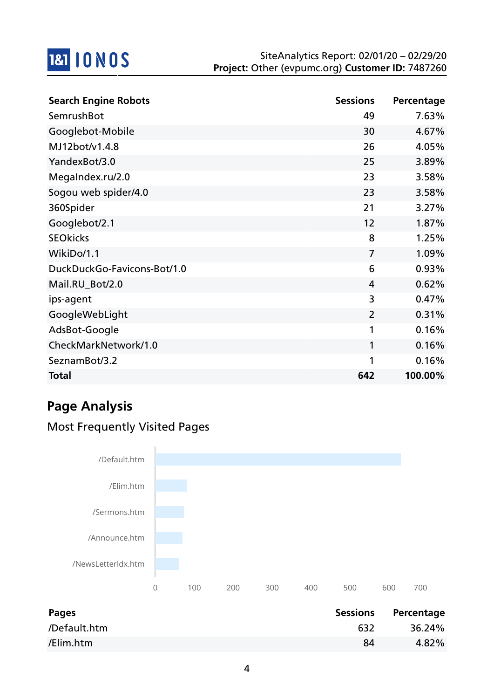

| <b>Search Engine Robots</b> | <b>Sessions</b> | Percentage |
|-----------------------------|-----------------|------------|
| SemrushBot                  | 49              | 7.63%      |
| Googlebot-Mobile            | 30              | 4.67%      |
| MJ12bot/v1.4.8              | 26              | 4.05%      |
| YandexBot/3.0               | 25              | 3.89%      |
| MegaIndex.ru/2.0            | 23              | 3.58%      |
| Sogou web spider/4.0        | 23              | 3.58%      |
| 360Spider                   | 21              | 3.27%      |
| Googlebot/2.1               | 12              | 1.87%      |
| <b>SEOkicks</b>             | 8               | 1.25%      |
| WikiDo/1.1                  | $\overline{7}$  | 1.09%      |
| DuckDuckGo-Favicons-Bot/1.0 | 6               | 0.93%      |
| Mail.RU_Bot/2.0             | 4               | 0.62%      |
| ips-agent                   | 3               | 0.47%      |
| GoogleWebLight              | $\overline{2}$  | 0.31%      |
| AdsBot-Google               | 1               | 0.16%      |
| CheckMarkNetwork/1.0        | 1               | 0.16%      |
| SeznamBot/3.2               | 1               | 0.16%      |
| <b>Total</b>                | 642             | 100.00%    |

# **Page Analysis**

## Most Frequently Visited Pages



| Pages        | <b>Sessions</b> | Percentage |
|--------------|-----------------|------------|
| /Default.htm | 632             | 36.24%     |
| /Elim.htm    | 84              | 4.82%      |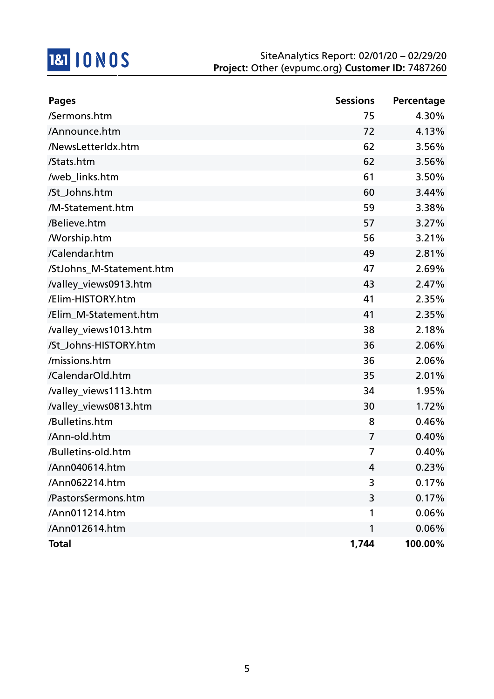

| <b>Pages</b>             | <b>Sessions</b> | Percentage |
|--------------------------|-----------------|------------|
| /Sermons.htm             | 75              | 4.30%      |
| /Announce.htm            | 72              | 4.13%      |
| /NewsLetterIdx.htm       | 62              | 3.56%      |
| /Stats.htm               | 62              | 3.56%      |
| /web_links.htm           | 61              | 3.50%      |
| /St_Johns.htm            | 60              | 3.44%      |
| /M-Statement.htm         | 59              | 3.38%      |
| /Believe.htm             | 57              | 3.27%      |
| <b>Morship.htm</b>       | 56              | 3.21%      |
| /Calendar.htm            | 49              | 2.81%      |
| /StJohns_M-Statement.htm | 47              | 2.69%      |
| /valley_views0913.htm    | 43              | 2.47%      |
| /Elim-HISTORY.htm        | 41              | 2.35%      |
| /Elim_M-Statement.htm    | 41              | 2.35%      |
| /valley_views1013.htm    | 38              | 2.18%      |
| /St_Johns-HISTORY.htm    | 36              | 2.06%      |
| /missions.htm            | 36              | 2.06%      |
| /CalendarOld.htm         | 35              | 2.01%      |
| /valley_views1113.htm    | 34              | 1.95%      |
| /valley_views0813.htm    | 30              | 1.72%      |
| /Bulletins.htm           | 8               | 0.46%      |
| /Ann-old.htm             | 7               | 0.40%      |
| /Bulletins-old.htm       | 7               | 0.40%      |
| /Ann040614.htm           | 4               | 0.23%      |
| /Ann062214.htm           | 3               | 0.17%      |
| /PastorsSermons.htm      | 3               | 0.17%      |
| /Ann011214.htm           | 1               | 0.06%      |
| /Ann012614.htm           | 1               | 0.06%      |
| <b>Total</b>             | 1,744           | 100.00%    |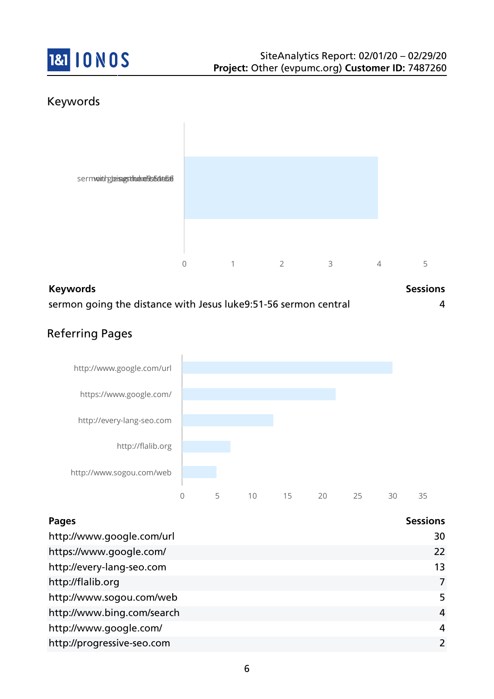

## Keywords



| <b>Keywords</b>                                                 | <b>Sessions</b> |
|-----------------------------------------------------------------|-----------------|
| sermon going the distance with Jesus luke9:51-56 sermon central |                 |

## Referring Pages



| <b>Pages</b>               | <b>Sessions</b> |
|----------------------------|-----------------|
| http://www.google.com/url  | 30              |
| https://www.google.com/    | 22              |
| http://every-lang-seo.com  | 13              |
| http://flalib.org          | 7               |
| http://www.sogou.com/web   | 5               |
| http://www.bing.com/search | $\overline{4}$  |
| http://www.google.com/     | 4               |
| http://progressive-seo.com | 2               |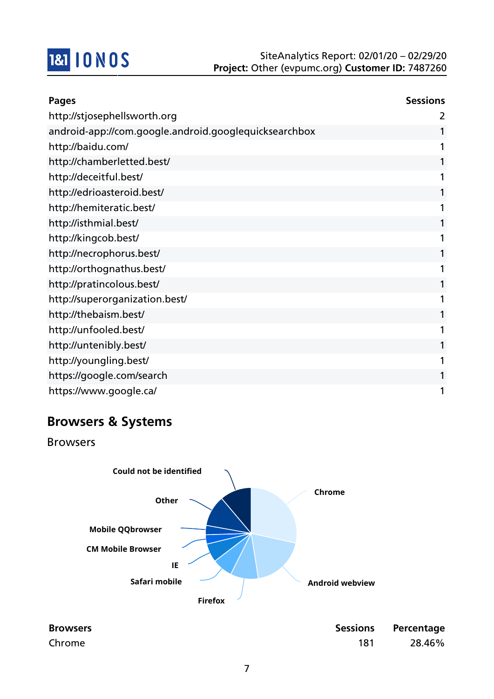

| Pages                                                 | <b>Sessions</b> |
|-------------------------------------------------------|-----------------|
| http://stjosephellsworth.org                          | 2               |
| android-app://com.google.android.googlequicksearchbox | 1               |
| http://baidu.com/                                     | 1               |
| http://chamberletted.best/                            | 1               |
| http://deceitful.best/                                | 1               |
| http://edrioasteroid.best/                            | 1               |
| http://hemiteratic.best/                              | 1               |
| http://isthmial.best/                                 | 1               |
| http://kingcob.best/                                  | 1               |
| http://necrophorus.best/                              | 1               |
| http://orthognathus.best/                             | 1               |
| http://pratincolous.best/                             | 1               |
| http://superorganization.best/                        | 1               |
| http://thebaism.best/                                 | 1               |
| http://unfooled.best/                                 | 1               |
| http://untenibly.best/                                | 1               |
| http://youngling.best/                                | 1               |
| https://google.com/search                             | 1               |
| https://www.google.ca/                                | 1               |

## **Browsers & Systems**

Browsers



| <b>Browsers</b> |     | Sessions Percentage |
|-----------------|-----|---------------------|
| Chrome          | 181 | 28.46%              |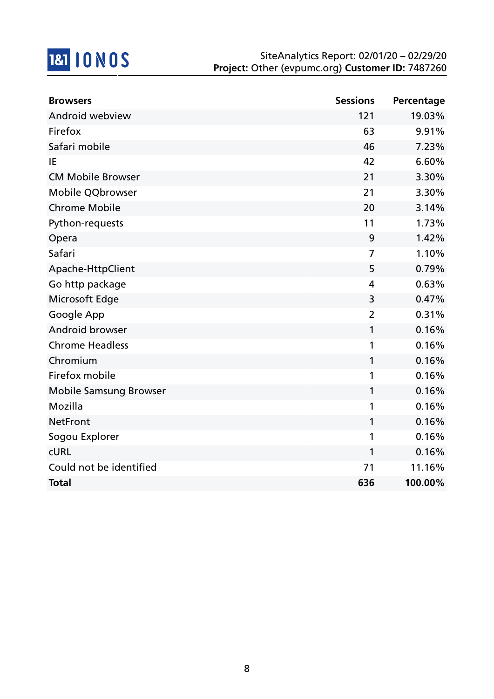# 181 10 NOS

| <b>Browsers</b>               | <b>Sessions</b> | Percentage |
|-------------------------------|-----------------|------------|
| Android webview               | 121             | 19.03%     |
| Firefox                       | 63              | 9.91%      |
| Safari mobile                 | 46              | 7.23%      |
| IE                            | 42              | 6.60%      |
| <b>CM Mobile Browser</b>      | 21              | 3.30%      |
| Mobile QQbrowser              | 21              | 3.30%      |
| <b>Chrome Mobile</b>          | 20              | 3.14%      |
| Python-requests               | 11              | 1.73%      |
| Opera                         | 9               | 1.42%      |
| Safari                        | $\overline{7}$  | 1.10%      |
| Apache-HttpClient             | 5               | 0.79%      |
| Go http package               | 4               | 0.63%      |
| Microsoft Edge                | 3               | 0.47%      |
| Google App                    | $\overline{2}$  | 0.31%      |
| Android browser               | 1               | 0.16%      |
| <b>Chrome Headless</b>        | 1               | 0.16%      |
| Chromium                      | 1               | 0.16%      |
| Firefox mobile                | 1               | 0.16%      |
| <b>Mobile Samsung Browser</b> | 1               | 0.16%      |
| Mozilla                       | 1               | 0.16%      |
| <b>NetFront</b>               | 1               | 0.16%      |
| Sogou Explorer                | 1               | 0.16%      |
| <b>CURL</b>                   | 1               | 0.16%      |
| Could not be identified       | 71              | 11.16%     |
| <b>Total</b>                  | 636             | 100.00%    |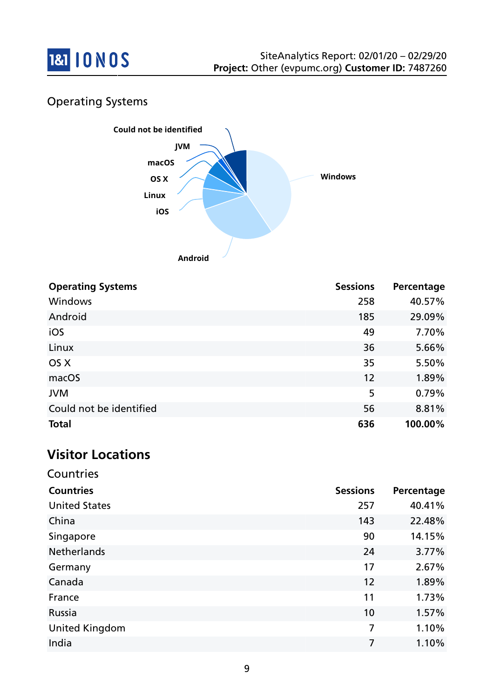

## Operating Systems



| <b>Operating Systems</b> | <b>Sessions</b> | Percentage |
|--------------------------|-----------------|------------|
| <b>Windows</b>           | 258             | 40.57%     |
| Android                  | 185             | 29.09%     |
| iOS                      | 49              | 7.70%      |
| Linux                    | 36              | 5.66%      |
| OS X                     | 35              | 5.50%      |
| macOS                    | 12              | 1.89%      |
| <b>JVM</b>               | 5               | 0.79%      |
| Could not be identified  | 56              | 8.81%      |
| <b>Total</b>             | 636             | 100.00%    |

# **Visitor Locations**

| Countries             |                 |            |
|-----------------------|-----------------|------------|
| <b>Countries</b>      | <b>Sessions</b> | Percentage |
| <b>United States</b>  | 257             | 40.41%     |
| China                 | 143             | 22.48%     |
| Singapore             | 90              | 14.15%     |
| <b>Netherlands</b>    | 24              | 3.77%      |
| Germany               | 17              | 2.67%      |
| Canada                | 12              | 1.89%      |
| France                | 11              | 1.73%      |
| Russia                | 10              | 1.57%      |
| <b>United Kingdom</b> | 7               | 1.10%      |
| India                 | 7               | 1.10%      |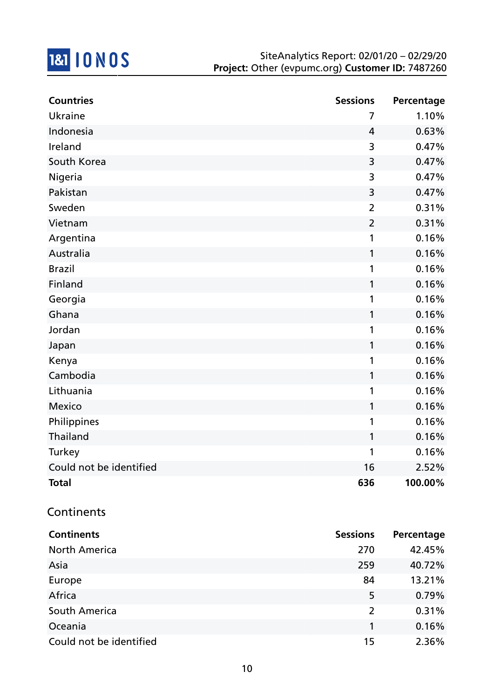

| <b>Countries</b>        | <b>Sessions</b> | Percentage |
|-------------------------|-----------------|------------|
| Ukraine                 | 7               | 1.10%      |
| Indonesia               | $\overline{4}$  | 0.63%      |
| Ireland                 | 3               | 0.47%      |
| South Korea             | 3               | 0.47%      |
| Nigeria                 | 3               | 0.47%      |
| Pakistan                | 3               | 0.47%      |
| Sweden                  | $\overline{2}$  | 0.31%      |
| Vietnam                 | $\overline{2}$  | 0.31%      |
| Argentina               | 1               | 0.16%      |
| Australia               | $\mathbf{1}$    | 0.16%      |
| <b>Brazil</b>           | 1               | 0.16%      |
| Finland                 | $\mathbf 1$     | 0.16%      |
| Georgia                 | 1               | 0.16%      |
| Ghana                   | 1               | 0.16%      |
| Jordan                  | 1               | 0.16%      |
| Japan                   | 1               | 0.16%      |
| Kenya                   | 1               | 0.16%      |
| Cambodia                | 1               | 0.16%      |
| Lithuania               | 1               | 0.16%      |
| <b>Mexico</b>           | 1               | 0.16%      |
| Philippines             | 1               | 0.16%      |
| Thailand                | 1               | 0.16%      |
| Turkey                  | 1               | 0.16%      |
| Could not be identified | 16              | 2.52%      |
| <b>Total</b>            | 636             | 100.00%    |

### **Continents**

| <b>Continents</b>       | <b>Sessions</b> | Percentage |
|-------------------------|-----------------|------------|
| <b>North America</b>    | 270             | 42.45%     |
| Asia                    | 259             | 40.72%     |
| Europe                  | 84              | 13.21%     |
| Africa                  | 5               | 0.79%      |
| South America           | $\overline{2}$  | 0.31%      |
| Oceania                 |                 | 0.16%      |
| Could not be identified | 15              | 2.36%      |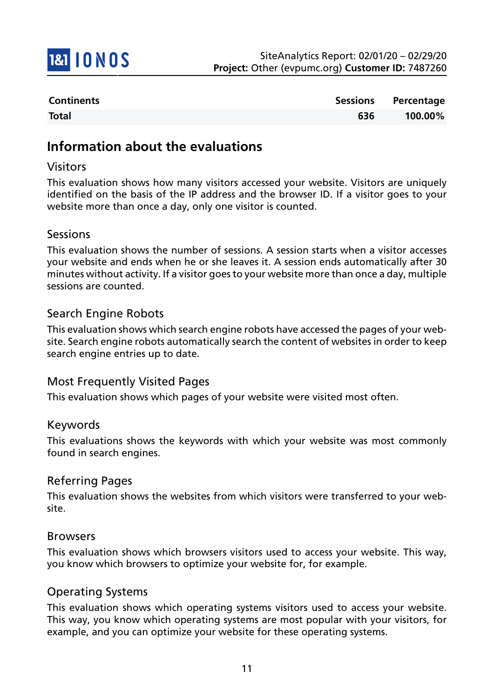

| <b>Continents</b> |     | Sessions Percentage |
|-------------------|-----|---------------------|
| <b>Total</b>      | 636 | 100.00%             |

## **Information about the evaluations**

#### Visitors

This evaluation shows how many visitors accessed your website. Visitors are uniquely identified on the basis of the IP address and the browser ID. If a visitor goes to your website more than once a day, only one visitor is counted.

#### Sessions

This evaluation shows the number of sessions. A session starts when a visitor accesses your website and ends when he or she leaves it. A session ends automatically after 30 minutes without activity. If a visitor goes to your website more than once a day, multiple sessions are counted.

#### Search Engine Robots

This evaluation shows which search engine robots have accessed the pages of your website. Search engine robots automatically search the content of websites in order to keep search engine entries up to date.

#### Most Frequently Visited Pages

This evaluation shows which pages of your website were visited most often.

#### Keywords

This evaluations shows the keywords with which your website was most commonly found in search engines.

#### Referring Pages

This evaluation shows the websites from which visitors were transferred to your website.

#### Browsers

This evaluation shows which browsers visitors used to access your website. This way, you know which browsers to optimize your website for, for example.

#### Operating Systems

This evaluation shows which operating systems visitors used to access your website. This way, you know which operating systems are most popular with your visitors, for example, and you can optimize your website for these operating systems.